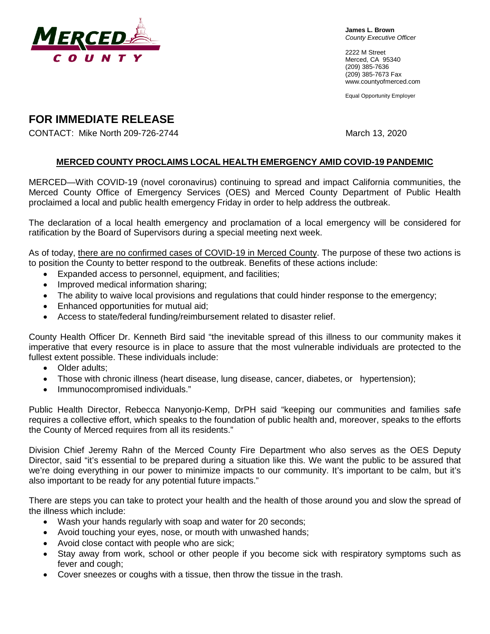

**James L. Brown** *County Executive Officer*

2222 M Street Merced, CA 95340 (209) 385-7636 (209) 385-7673 Fax [www.countyofmerced.com](http://www.co.merced.ca.us/)

Equal Opportunity Employer

# **FOR IMMEDIATE RELEASE**

CONTACT: Mike North 209-726-2744 March 13, 2020

### **MERCED COUNTY PROCLAIMS LOCAL HEALTH EMERGENCY AMID COVID-19 PANDEMIC**

MERCED—With COVID-19 (novel coronavirus) continuing to spread and impact California communities, the Merced County Office of Emergency Services (OES) and Merced County Department of Public Health proclaimed a local and public health emergency Friday in order to help address the outbreak.

The declaration of a local health emergency and proclamation of a local emergency will be considered for ratification by the Board of Supervisors during a special meeting next week.

As of today, there are no confirmed cases of COVID-19 in Merced County. The purpose of these two actions is to position the County to better respond to the outbreak. Benefits of these actions include:

- Expanded access to personnel, equipment, and facilities;
- Improved medical information sharing;
- The ability to waive local provisions and regulations that could hinder response to the emergency;
- Enhanced opportunities for mutual aid;
- Access to state/federal funding/reimbursement related to disaster relief.

County Health Officer Dr. Kenneth Bird said "the inevitable spread of this illness to our community makes it imperative that every resource is in place to assure that the most vulnerable individuals are protected to the fullest extent possible. These individuals include:

- Older adults:
- Those with chronic illness (heart disease, lung disease, cancer, diabetes, or hypertension);
- Immunocompromised individuals."

Public Health Director, Rebecca Nanyonjo-Kemp, DrPH said "keeping our communities and families safe requires a collective effort, which speaks to the foundation of public health and, moreover, speaks to the efforts the County of Merced requires from all its residents."

Division Chief Jeremy Rahn of the Merced County Fire Department who also serves as the OES Deputy Director, said "it's essential to be prepared during a situation like this. We want the public to be assured that we're doing everything in our power to minimize impacts to our community. It's important to be calm, but it's also important to be ready for any potential future impacts."

There are steps you can take to protect your health and the health of those around you and slow the spread of the illness which include:

- Wash your hands regularly with soap and water for 20 seconds;
- Avoid touching your eyes, nose, or mouth with unwashed hands;
- Avoid close contact with people who are sick;
- Stay away from work, school or other people if you become sick with respiratory symptoms such as fever and cough;
- Cover sneezes or coughs with a tissue, then throw the tissue in the trash.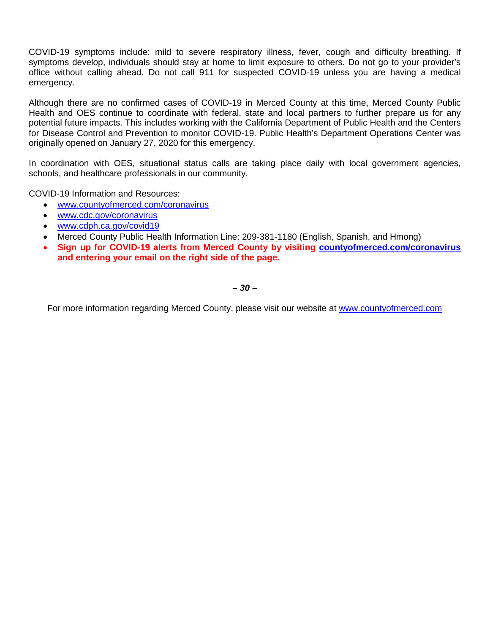COVID-19 symptoms include: mild to severe respiratory illness, fever, cough and difficulty breathing. If symptoms develop, individuals should stay at home to limit exposure to others. Do not go to your provider's office without calling ahead. Do not call 911 for suspected COVID-19 unless you are having a medical emergency.

Although there are no confirmed cases of COVID-19 in Merced County at this time, Merced County Public Health and OES continue to coordinate with federal, state and local partners to further prepare us for any potential future impacts. This includes working with the California Department of Public Health and the Centers for Disease Control and Prevention to monitor COVID-19. Public Health's Department Operations Center was originally opened on January 27, 2020 for this emergency.

In coordination with OES, situational status calls are taking place daily with local government agencies, schools, and healthcare professionals in our community.

COVID-19 Information and Resources:

- [www.countyofmerced.com/coronavirus](http://www.countyofmerced.com/coronavirus)
- [www.cdc.gov/coronavirus](http://www.cdc.gov/coronavirus)
- [www.cdph.ca.gov/covid19](http://www.cdph.ca.gov/covid19)
- Merced County Public Health Information Line: 209-381-1180 (English, Spanish, and Hmong)
- **Sign up for COVID-19 alerts from Merced County by visiting [countyofmerced.com/coronavirus](http://www.countyofmerced.com/coronavirus) and entering your email on the right side of the page.**

*– 30 –*

For more information regarding Merced County, please visit our website at [www.countyofmerced.com](http://www.countyofmerced.com/)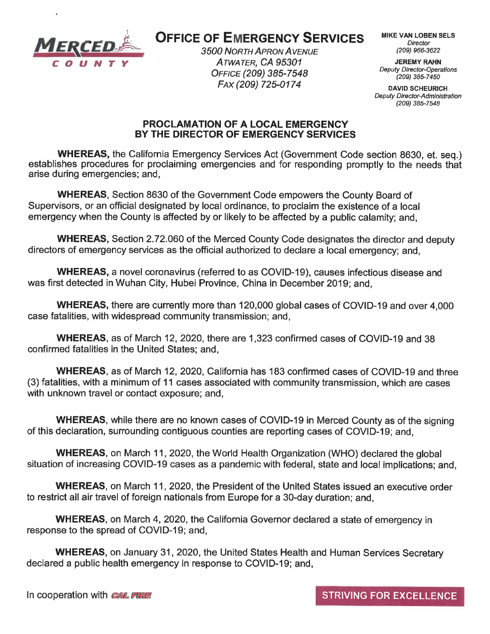

# **OFFICE OF EMERGENCY SERVICES**

**3500 NORTH APRON AVENUE** ATWATER, CA 95301 OFFICE (209) 385-7548 FAX (209) 725-0174

**MIKE VAN LOBEN SELS** Director (209) 966-3622

**JEREMY RAHN Deputy Director-Operations** (209) 385-7450

**DAVID SCHEURICH Deputy Director-Administration** (209) 385-7548

#### **PROCLAMATION OF A LOCAL EMERGENCY** BY THE DIRECTOR OF EMERGENCY SERVICES

**WHEREAS, the California Emergency Services Act (Government Code section 8630, et. seg.)** establishes procedures for proclaiming emergencies and for responding promptly to the needs that arise during emergencies; and,

**WHEREAS, Section 8630 of the Government Code empowers the County Board of** Supervisors, or an official designated by local ordinance, to proclaim the existence of a local emergency when the County is affected by or likely to be affected by a public calamity; and,

**WHEREAS, Section 2.72.060 of the Merced County Code designates the director and deputy** directors of emergency services as the official authorized to declare a local emergency; and,

**WHEREAS, a novel coronavirus (referred to as COVID-19), causes infectious disease and** was first detected in Wuhan City, Hubei Province, China in December 2019; and,

WHEREAS, there are currently more than 120,000 global cases of COVID-19 and over 4,000 case fatalities, with widespread community transmission; and,

**WHEREAS, as of March 12, 2020, there are 1,323 confirmed cases of COVID-19 and 38** confirmed fatalities in the United States; and,

**WHEREAS, as of March 12, 2020, California has 183 confirmed cases of COVID-19 and three** (3) fatalities, with a minimum of 11 cases associated with community transmission, which are cases with unknown travel or contact exposure; and,

**WHEREAS, while there are no known cases of COVID-19 in Merced County as of the signing** of this declaration, surrounding contiguous counties are reporting cases of COVID-19; and,

**WHEREAS, on March 11, 2020, the World Health Organization (WHO) declared the global** situation of increasing COVID-19 cases as a pandemic with federal, state and local implications; and,

**WHEREAS, on March 11, 2020, the President of the United States issued an executive order** to restrict all air travel of foreign nationals from Europe for a 30-day duration; and,

**WHEREAS, on March 4, 2020, the California Governor declared a state of emergency in** response to the spread of COVID-19; and,

**WHEREAS, on January 31, 2020, the United States Health and Human Services Secretary** declared a public health emergency in response to COVID-19; and,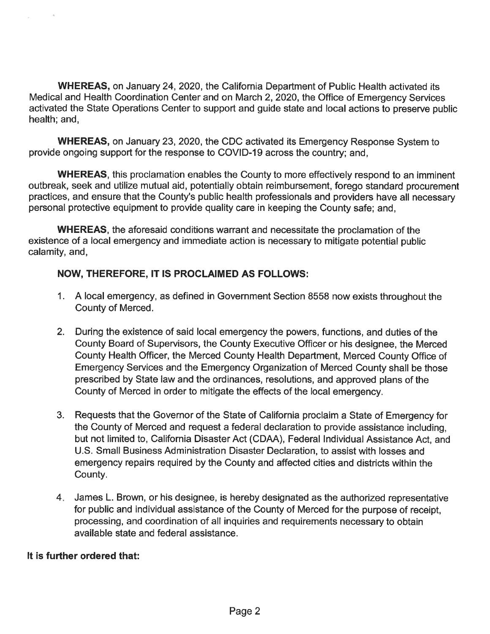**WHEREAS, on January 24, 2020, the California Department of Public Health activated its** Medical and Health Coordination Center and on March 2, 2020, the Office of Emergency Services activated the State Operations Center to support and guide state and local actions to preserve public health; and,

**WHEREAS, on January 23, 2020, the CDC activated its Emergency Response System to** provide ongoing support for the response to COVID-19 across the country; and,

**WHEREAS, this proclamation enables the County to more effectively respond to an imminent** outbreak, seek and utilize mutual aid, potentially obtain reimbursement, forego standard procurement practices, and ensure that the County's public health professionals and providers have all necessary personal protective equipment to provide quality care in keeping the County safe; and,

**WHEREAS**, the aforesaid conditions warrant and necessitate the proclamation of the existence of a local emergency and immediate action is necessary to mitigate potential public calamity, and,

## **NOW, THEREFORE, IT IS PROCLAIMED AS FOLLOWS:**

- 1. A local emergency, as defined in Government Section 8558 now exists throughout the County of Merced.
- 2. During the existence of said local emergency the powers, functions, and duties of the County Board of Supervisors, the County Executive Officer or his designee, the Merced County Health Officer, the Merced County Health Department, Merced County Office of Emergency Services and the Emergency Organization of Merced County shall be those prescribed by State law and the ordinances, resolutions, and approved plans of the County of Merced in order to mitigate the effects of the local emergency.
- 3. Requests that the Governor of the State of California proclaim a State of Emergency for the County of Merced and request a federal declaration to provide assistance including. but not limited to, California Disaster Act (CDAA), Federal Individual Assistance Act, and U.S. Small Business Administration Disaster Declaration, to assist with losses and emergency repairs required by the County and affected cities and districts within the County.
- 4. James L. Brown, or his designee, is hereby designated as the authorized representative for public and individual assistance of the County of Merced for the purpose of receipt, processing, and coordination of all inquiries and requirements necessary to obtain available state and federal assistance.

#### It is further ordered that: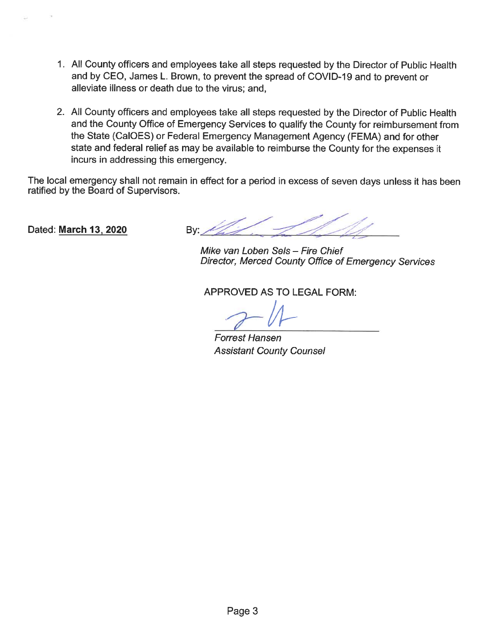- 1. All County officers and employees take all steps requested by the Director of Public Health and by CEO, James L. Brown, to prevent the spread of COVID-19 and to prevent or alleviate illness or death due to the virus; and,
- 2. All County officers and employees take all steps requested by the Director of Public Health and the County Office of Emergency Services to qualify the County for reimbursement from the State (CalOES) or Federal Emergency Management Agency (FEMA) and for other state and federal relief as may be available to reimburse the County for the expenses it incurs in addressing this emergency.

The local emergency shall not remain in effect for a period in excess of seven days unless it has been ratified by the Board of Supervisors.

Dated: March 13, 2020

Bv:

Mike van Loben Sels - Fire Chief Director, Merced County Office of Emergency Services

**APPROVED AS TO LEGAL FORM:** 

**Forrest Hansen Assistant County Counsel**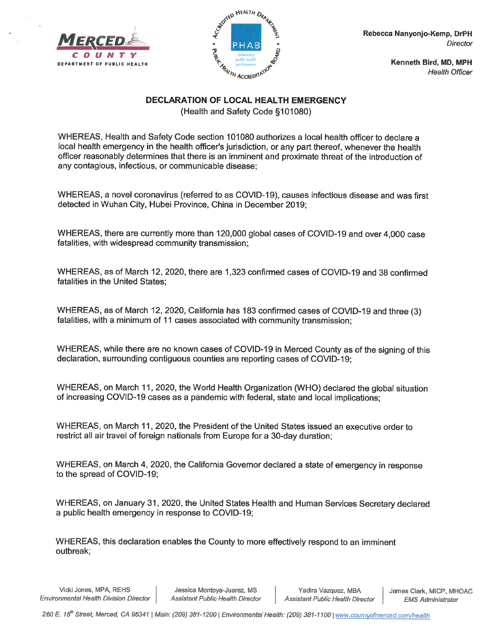



Kenneth Bird, MD, MPH **Health Officer** 

#### **DECLARATION OF LOCAL HEALTH EMERGENCY**

(Health and Safety Code §101080)

WHEREAS, Health and Safety Code section 101080 authorizes a local health officer to declare a local health emergency in the health officer's jurisdiction, or any part thereof, whenever the health officer reasonably determines that there is an imminent and proximate threat of the introduction of any contagious, infectious, or communicable disease:

WHEREAS, a novel coronavirus (referred to as COVID-19), causes infectious disease and was first detected in Wuhan City, Hubei Province, China in December 2019;

WHEREAS, there are currently more than 120,000 global cases of COVID-19 and over 4,000 case fatalities, with widespread community transmission;

WHEREAS, as of March 12, 2020, there are 1,323 confirmed cases of COVID-19 and 38 confirmed fatalities in the United States:

WHEREAS, as of March 12, 2020, California has 183 confirmed cases of COVID-19 and three (3) fatalities, with a minimum of 11 cases associated with community transmission;

WHEREAS, while there are no known cases of COVID-19 in Merced County as of the signing of this declaration, surrounding contiguous counties are reporting cases of COVID-19;

WHEREAS, on March 11, 2020, the World Health Organization (WHO) declared the global situation of increasing COVID-19 cases as a pandemic with federal, state and local implications:

WHEREAS, on March 11, 2020, the President of the United States issued an executive order to restrict all air travel of foreign nationals from Europe for a 30-day duration;

WHEREAS, on March 4, 2020, the California Governor declared a state of emergency in response to the spread of COVID-19;

WHEREAS, on January 31, 2020, the United States Health and Human Services Secretary declared a public health emergency in response to COVID-19;

WHEREAS, this declaration enables the County to more effectively respond to an imminent outbreak;

Vicki Jones, MPA, REHS **Environmental Health Division Director** 

Jessica Montoya-Juarez, MS **Assistant Public Health Director** 

Yadira Vazquez, MBA **Assistant Public Health Director**  James Clark, MICP, MHOAC **EMS Administrator**